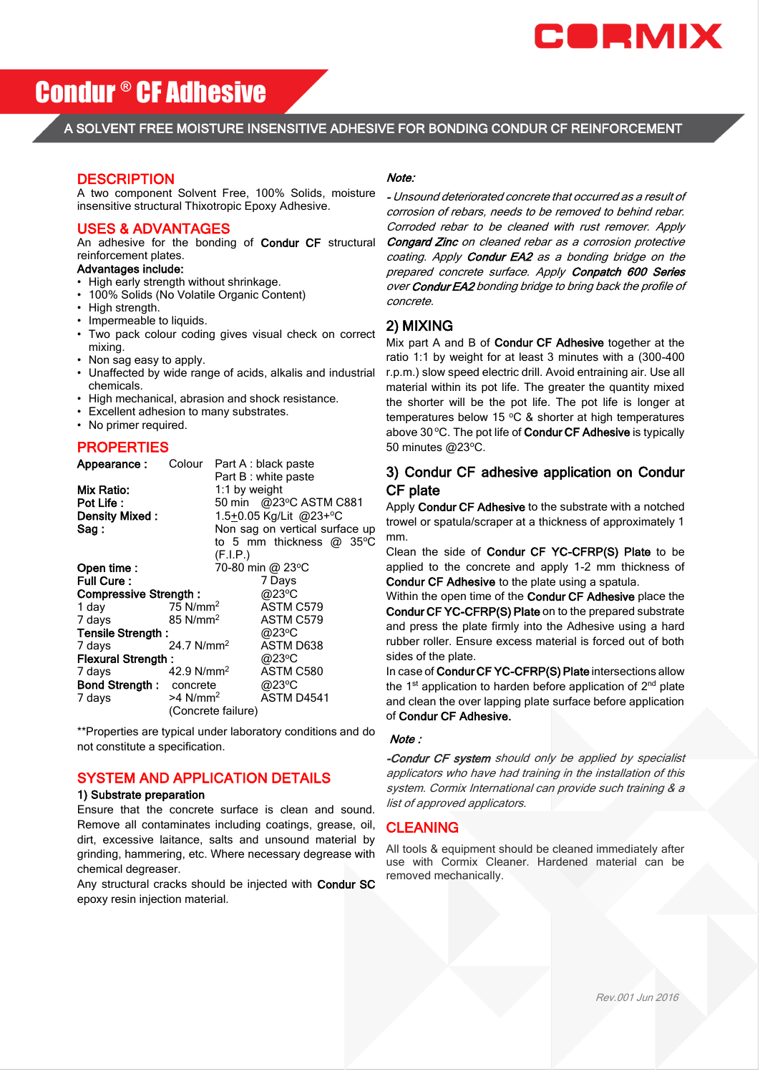

# Condur ® CF Adhesive

A SOLVENT FREE MOISTURE INSENSITIVE ADHESIVE FOR BONDING CONDUR CF REINFORCEMENT

## **DESCRIPTION**

A two component Solvent Free, 100% Solids, moisture insensitive structural Thixotropic Epoxy Adhesive.

### USES & ADVANTAGES

An adhesive for the bonding of Condur CF structural reinforcement plates.

#### Advantages include:

- High early strength without shrinkage.
- 100% Solids (No Volatile Organic Content)
- High strength.
- Impermeable to liquids.
- Two pack colour coding gives visual check on correct mixing.
- Non sag easy to apply.
- Unaffected by wide range of acids, alkalis and industrial chemicals.
- High mechanical, abrasion and shock resistance.
- Excellent adhesion to many substrates.
- No primer required.

# **PROPERTIES**

| Appearance:                    | Colour                 |                                | Part A : black paste      |  |  |
|--------------------------------|------------------------|--------------------------------|---------------------------|--|--|
|                                |                        |                                | Part B : white paste      |  |  |
| Mix Ratio:                     |                        | 1:1 by weight                  |                           |  |  |
| Pot Life:                      |                        |                                | 50 min @23°C ASTM C881    |  |  |
| Density Mixed:                 | 1.5+0.05 Kg/Lit @23+°C |                                |                           |  |  |
| Sag :                          |                        | Non sag on vertical surface up |                           |  |  |
|                                |                        |                                | to 5 mm thickness $@35°C$ |  |  |
|                                |                        | (F.I.P.)                       |                           |  |  |
| Open time:                     | 70-80 min @ 23°C       |                                |                           |  |  |
| <b>Full Cure:</b>              |                        |                                | 7 Days                    |  |  |
| Compressive Strength:          |                        |                                | @23°C                     |  |  |
| 1 day                          | 75 N/mm <sup>2</sup>   |                                | ASTM C579                 |  |  |
| 7 days                         | $85$ N/mm <sup>2</sup> |                                | ASTM C579                 |  |  |
| Tensile Strength:              |                        |                                | @23°C                     |  |  |
| 7 days                         | 24.7 N/mm <sup>2</sup> |                                | ASTM D638                 |  |  |
| <b>Flexural Strength:</b>      |                        |                                | @23°C                     |  |  |
| 7 days                         | 42.9 N/mm <sup>2</sup> |                                | ASTM C580                 |  |  |
| <b>Bond Strength: concrete</b> |                        |                                | @23°C                     |  |  |
| 7 days                         | $>4$ N/mm <sup>2</sup> |                                | ASTM D4541                |  |  |
|                                |                        | (Concrete failure)             |                           |  |  |

\*\*Properties are typical under laboratory conditions and do not constitute a specification.

# SYSTEM AND APPLICATION DETAILS

#### 1) Substrate preparation

Ensure that the concrete surface is clean and sound. Remove all contaminates including coatings, grease, oil, dirt, excessive laitance, salts and unsound material by grinding, hammering, etc. Where necessary degrease with chemical degreaser.

Any structural cracks should be injected with Condur SC epoxy resin injection material.

#### Note:

- Unsound deteriorated concrete that occurred as a result of corrosion of rebars, needs to be removed to behind rebar. Corroded rebar to be cleaned with rust remover. Apply Congard Zinc on cleaned rebar as a corrosion protective coating. Apply Condur EA2 as a bonding bridge on the prepared concrete surface. Apply Conpatch 600 Series over Condur EA2 bonding bridge to bring back the profile of concrete.

# 2) MIXING

Mix part A and B of Condur CF Adhesive together at the ratio 1:1 by weight for at least 3 minutes with a (300-400 r.p.m.) slow speed electric drill. Avoid entraining air. Use all material within its pot life. The greater the quantity mixed the shorter will be the pot life. The pot life is longer at temperatures below 15  $\degree$ C & shorter at high temperatures above 30 °C. The pot life of Condur CF Adhesive is typically 50 minutes @23°C.

# 3) Condur CF adhesive application on Condur CF plate

Apply Condur CF Adhesive to the substrate with a notched trowel or spatula/scraper at a thickness of approximately 1 mm.

Clean the side of Condur CF YC-CFRP(S) Plate to be applied to the concrete and apply 1-2 mm thickness of Condur CF Adhesive to the plate using a spatula.

Within the open time of the **Condur CF Adhesive** place the Condur CF YC-CFRP(S) Plate on to the prepared substrate and press the plate firmly into the Adhesive using a hard rubber roller. Ensure excess material is forced out of both sides of the plate.

In case of Condur CF YC-CFRP(S) Plate intersections allow the 1<sup>st</sup> application to harden before application of 2<sup>nd</sup> plate and clean the over lapping plate surface before application of Condur CF Adhesive.

## Note :

-Condur CF system should only be applied by specialist applicators who have had training in the installation of this system. Cormix International can provide such training & a list of approved applicators.

# CLEANING

All tools & equipment should be cleaned immediately after use with Cormix Cleaner. Hardened material can be removed mechanically.